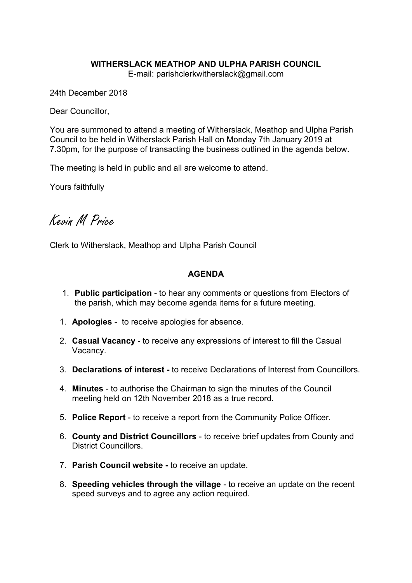# WITHERSLACK MEATHOP AND ULPHA PARISH COUNCIL

E-mail: parishclerkwitherslack@gmail.com

24th December 2018

Dear Councillor,

You are summoned to attend a meeting of Witherslack, Meathop and Ulpha Parish Council to be held in Witherslack Parish Hall on Monday 7th January 2019 at 7.30pm, for the purpose of transacting the business outlined in the agenda below.

The meeting is held in public and all are welcome to attend.

Yours faithfully

Kevin M Price

Clerk to Witherslack, Meathop and Ulpha Parish Council

## AGENDA

- 1. Public participation to hear any comments or questions from Electors of the parish, which may become agenda items for a future meeting.
- 1. Apologies to receive apologies for absence.
- 2. Casual Vacancy to receive any expressions of interest to fill the Casual Vacancy.
- 3. Declarations of interest to receive Declarations of Interest from Councillors.
- 4. Minutes to authorise the Chairman to sign the minutes of the Council meeting held on 12th November 2018 as a true record.
- 5. Police Report to receive a report from the Community Police Officer.
- 6. County and District Councillors to receive brief updates from County and District Councillors.
- 7. Parish Council website to receive an update.
- 8. Speeding vehicles through the village to receive an update on the recent speed surveys and to agree any action required.